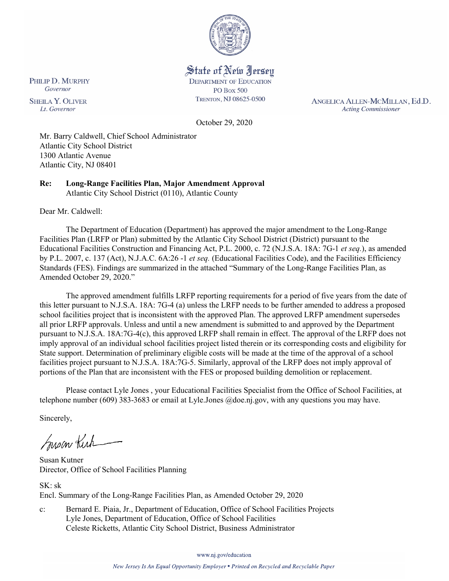

State of New Jersey **DEPARTMENT OF EDUCATION PO Box 500** TRENTON, NJ 08625-0500

ANGELICA ALLEN-MCMILLAN, Ed.D. **Acting Commissioner** 

October 29, 2020

Mr. Barry Caldwell, Chief School Administrator Atlantic City School District 1300 Atlantic Avenue Atlantic City, NJ 08401

**Re: Long-Range Facilities Plan, Major Amendment Approval** Atlantic City School District (0110), Atlantic County

Dear Mr. Caldwell:

The Department of Education (Department) has approved the major amendment to the Long-Range Facilities Plan (LRFP or Plan) submitted by the Atlantic City School District (District) pursuant to the Educational Facilities Construction and Financing Act, P.L. 2000, c. 72 (N.J.S.A. 18A: 7G-1 *et seq.*), as amended by P.L. 2007, c. 137 (Act), N.J.A.C. 6A:26 -1 *et seq.* (Educational Facilities Code), and the Facilities Efficiency Standards (FES). Findings are summarized in the attached "Summary of the Long-Range Facilities Plan, as Amended October 29, 2020."

The approved amendment fulfills LRFP reporting requirements for a period of five years from the date of this letter pursuant to N.J.S.A. 18A: 7G-4 (a) unless the LRFP needs to be further amended to address a proposed school facilities project that is inconsistent with the approved Plan. The approved LRFP amendment supersedes all prior LRFP approvals. Unless and until a new amendment is submitted to and approved by the Department pursuant to N.J.S.A. 18A:7G-4(c), this approved LRFP shall remain in effect. The approval of the LRFP does not imply approval of an individual school facilities project listed therein or its corresponding costs and eligibility for State support. Determination of preliminary eligible costs will be made at the time of the approval of a school facilities project pursuant to N.J.S.A. 18A:7G-5. Similarly, approval of the LRFP does not imply approval of portions of the Plan that are inconsistent with the FES or proposed building demolition or replacement.

Please contact Lyle Jones , your Educational Facilities Specialist from the Office of School Facilities, at telephone number (609) 383-3683 or email at Lyle.Jones @doe.nj.gov, with any questions you may have.

Sincerely,

Susan Kich

Susan Kutner Director, Office of School Facilities Planning

SK: sk Encl. Summary of the Long-Range Facilities Plan, as Amended October 29, 2020

c: Bernard E. Piaia, Jr., Department of Education, Office of School Facilities Projects Lyle Jones, Department of Education, Office of School Facilities Celeste Ricketts, Atlantic City School District, Business Administrator

www.nj.gov/education

PHILIP D. MURPHY Governor

**SHEILA Y. OLIVER** Lt. Governor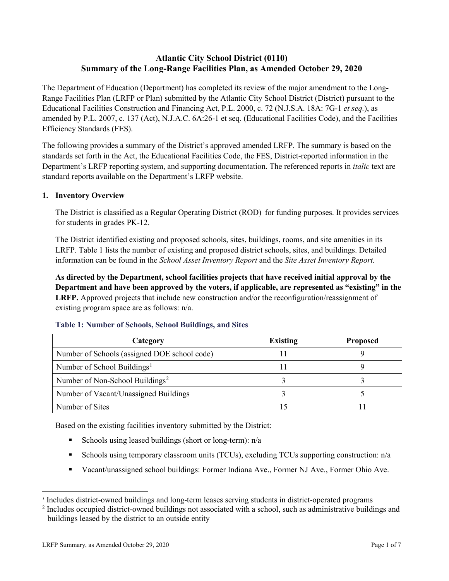# **Atlantic City School District (0110) Summary of the Long-Range Facilities Plan, as Amended October 29, 2020**

The Department of Education (Department) has completed its review of the major amendment to the Long-Range Facilities Plan (LRFP or Plan) submitted by the Atlantic City School District (District) pursuant to the Educational Facilities Construction and Financing Act, P.L. 2000, c. 72 (N.J.S.A. 18A: 7G-1 *et seq.*), as amended by P.L. 2007, c. 137 (Act), N.J.A.C. 6A:26-1 et seq. (Educational Facilities Code), and the Facilities Efficiency Standards (FES).

The following provides a summary of the District's approved amended LRFP. The summary is based on the standards set forth in the Act, the Educational Facilities Code, the FES, District-reported information in the Department's LRFP reporting system, and supporting documentation. The referenced reports in *italic* text are standard reports available on the Department's LRFP website.

## **1. Inventory Overview**

The District is classified as a Regular Operating District (ROD) for funding purposes. It provides services for students in grades PK-12.

The District identified existing and proposed schools, sites, buildings, rooms, and site amenities in its LRFP. Table 1 lists the number of existing and proposed district schools, sites, and buildings. Detailed information can be found in the *School Asset Inventory Report* and the *Site Asset Inventory Report.*

**As directed by the Department, school facilities projects that have received initial approval by the Department and have been approved by the voters, if applicable, are represented as "existing" in the LRFP.** Approved projects that include new construction and/or the reconfiguration/reassignment of existing program space are as follows: n/a.

| Category                                     | <b>Existing</b> | <b>Proposed</b> |
|----------------------------------------------|-----------------|-----------------|
| Number of Schools (assigned DOE school code) |                 |                 |
| Number of School Buildings <sup>1</sup>      |                 |                 |
| Number of Non-School Buildings <sup>2</sup>  |                 |                 |
| Number of Vacant/Unassigned Buildings        |                 |                 |
| Number of Sites                              |                 |                 |

#### **Table 1: Number of Schools, School Buildings, and Sites**

Based on the existing facilities inventory submitted by the District:

- Schools using leased buildings (short or long-term):  $n/a$
- Schools using temporary classroom units (TCUs), excluding TCUs supporting construction:  $n/a$
- Vacant/unassigned school buildings: Former Indiana Ave., Former NJ Ave., Former Ohio Ave.

 $\overline{a}$ 

<span id="page-1-0"></span>*<sup>1</sup>* Includes district-owned buildings and long-term leases serving students in district-operated programs

<span id="page-1-1"></span><sup>&</sup>lt;sup>2</sup> Includes occupied district-owned buildings not associated with a school, such as administrative buildings and buildings leased by the district to an outside entity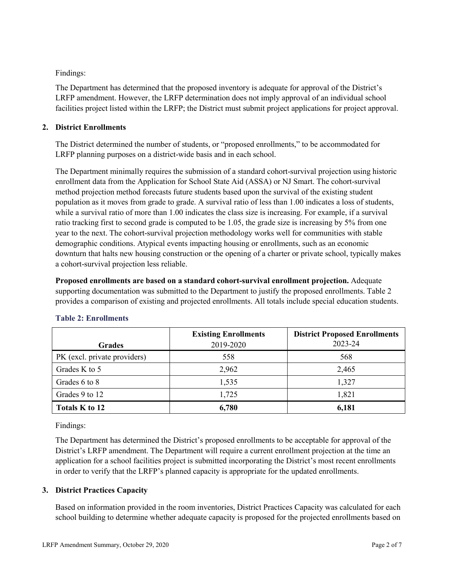# Findings:

The Department has determined that the proposed inventory is adequate for approval of the District's LRFP amendment. However, the LRFP determination does not imply approval of an individual school facilities project listed within the LRFP; the District must submit project applications for project approval.

# **2. District Enrollments**

The District determined the number of students, or "proposed enrollments," to be accommodated for LRFP planning purposes on a district-wide basis and in each school.

The Department minimally requires the submission of a standard cohort-survival projection using historic enrollment data from the Application for School State Aid (ASSA) or NJ Smart. The cohort-survival method projection method forecasts future students based upon the survival of the existing student population as it moves from grade to grade. A survival ratio of less than 1.00 indicates a loss of students, while a survival ratio of more than 1.00 indicates the class size is increasing. For example, if a survival ratio tracking first to second grade is computed to be 1.05, the grade size is increasing by 5% from one year to the next. The cohort-survival projection methodology works well for communities with stable demographic conditions. Atypical events impacting housing or enrollments, such as an economic downturn that halts new housing construction or the opening of a charter or private school, typically makes a cohort-survival projection less reliable.

**Proposed enrollments are based on a standard cohort-survival enrollment projection.** Adequate supporting documentation was submitted to the Department to justify the proposed enrollments. Table 2 provides a comparison of existing and projected enrollments. All totals include special education students.

|                              | <b>Existing Enrollments</b> | <b>District Proposed Enrollments</b> |
|------------------------------|-----------------------------|--------------------------------------|
| <b>Grades</b>                | 2019-2020                   | 2023-24                              |
| PK (excl. private providers) | 558                         | 568                                  |
| Grades K to 5                | 2,962                       | 2,465                                |
| Grades 6 to 8                | 1,535                       | 1,327                                |
| Grades 9 to 12               | 1,725                       | 1,821                                |
| Totals K to 12               | 6,780                       | 6,181                                |

## **Table 2: Enrollments**

Findings:

The Department has determined the District's proposed enrollments to be acceptable for approval of the District's LRFP amendment. The Department will require a current enrollment projection at the time an application for a school facilities project is submitted incorporating the District's most recent enrollments in order to verify that the LRFP's planned capacity is appropriate for the updated enrollments.

## **3. District Practices Capacity**

Based on information provided in the room inventories, District Practices Capacity was calculated for each school building to determine whether adequate capacity is proposed for the projected enrollments based on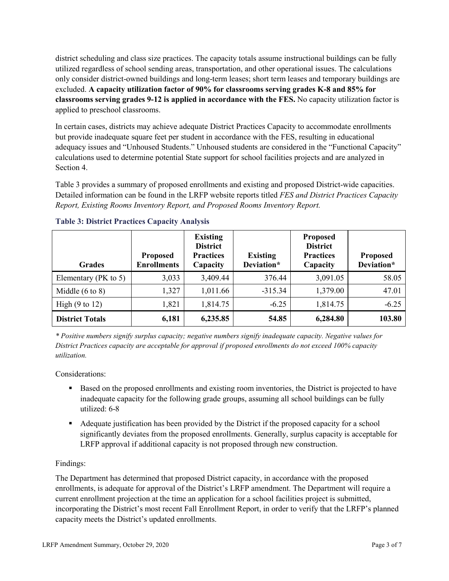district scheduling and class size practices. The capacity totals assume instructional buildings can be fully utilized regardless of school sending areas, transportation, and other operational issues. The calculations only consider district-owned buildings and long-term leases; short term leases and temporary buildings are excluded. **A capacity utilization factor of 90% for classrooms serving grades K-8 and 85% for classrooms serving grades 9-12 is applied in accordance with the FES.** No capacity utilization factor is applied to preschool classrooms.

In certain cases, districts may achieve adequate District Practices Capacity to accommodate enrollments but provide inadequate square feet per student in accordance with the FES, resulting in educational adequacy issues and "Unhoused Students." Unhoused students are considered in the "Functional Capacity" calculations used to determine potential State support for school facilities projects and are analyzed in Section 4.

Table 3 provides a summary of proposed enrollments and existing and proposed District-wide capacities. Detailed information can be found in the LRFP website reports titled *FES and District Practices Capacity Report, Existing Rooms Inventory Report, and Proposed Rooms Inventory Report.*

| <b>Grades</b>              | <b>Proposed</b><br><b>Enrollments</b> | <b>Existing</b><br><b>District</b><br><b>Practices</b><br>Capacity | <b>Existing</b><br>Deviation* | <b>Proposed</b><br><b>District</b><br><b>Practices</b><br>Capacity | <b>Proposed</b><br>Deviation* |
|----------------------------|---------------------------------------|--------------------------------------------------------------------|-------------------------------|--------------------------------------------------------------------|-------------------------------|
| Elementary ( $PK$ to 5)    | 3,033                                 | 3,409.44                                                           | 376.44                        | 3,091.05                                                           | 58.05                         |
| Middle $(6 \text{ to } 8)$ | 1,327                                 | 1,011.66                                                           | $-315.34$                     | 1,379.00                                                           | 47.01                         |
| High $(9 \text{ to } 12)$  | 1,821                                 | 1,814.75                                                           | $-6.25$                       | 1,814.75                                                           | $-6.25$                       |
| <b>District Totals</b>     | 6,181                                 | 6,235.85                                                           | 54.85                         | 6,284.80                                                           | 103.80                        |

## **Table 3: District Practices Capacity Analysis**

*\* Positive numbers signify surplus capacity; negative numbers signify inadequate capacity. Negative values for District Practices capacity are acceptable for approval if proposed enrollments do not exceed 100% capacity utilization.*

Considerations:

- Based on the proposed enrollments and existing room inventories, the District is projected to have inadequate capacity for the following grade groups, assuming all school buildings can be fully utilized: 6-8
- Adequate justification has been provided by the District if the proposed capacity for a school significantly deviates from the proposed enrollments. Generally, surplus capacity is acceptable for LRFP approval if additional capacity is not proposed through new construction.

## Findings:

The Department has determined that proposed District capacity, in accordance with the proposed enrollments, is adequate for approval of the District's LRFP amendment. The Department will require a current enrollment projection at the time an application for a school facilities project is submitted, incorporating the District's most recent Fall Enrollment Report, in order to verify that the LRFP's planned capacity meets the District's updated enrollments.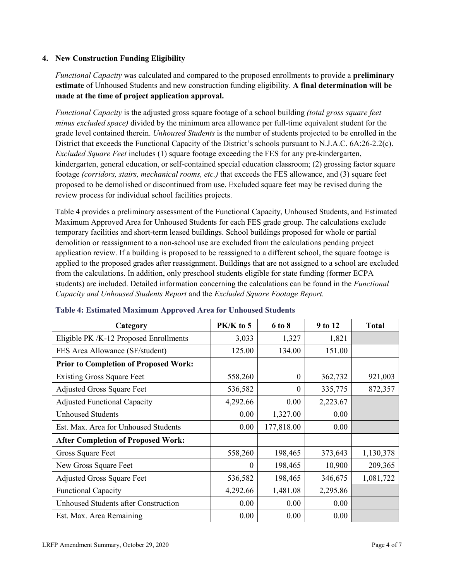## **4. New Construction Funding Eligibility**

*Functional Capacity* was calculated and compared to the proposed enrollments to provide a **preliminary estimate** of Unhoused Students and new construction funding eligibility. **A final determination will be made at the time of project application approval.**

*Functional Capacity* is the adjusted gross square footage of a school building *(total gross square feet minus excluded space)* divided by the minimum area allowance per full-time equivalent student for the grade level contained therein. *Unhoused Students* is the number of students projected to be enrolled in the District that exceeds the Functional Capacity of the District's schools pursuant to N.J.A.C. 6A:26-2.2(c). *Excluded Square Feet* includes (1) square footage exceeding the FES for any pre-kindergarten, kindergarten, general education, or self-contained special education classroom; (2) grossing factor square footage *(corridors, stairs, mechanical rooms, etc.)* that exceeds the FES allowance, and (3) square feet proposed to be demolished or discontinued from use. Excluded square feet may be revised during the review process for individual school facilities projects.

Table 4 provides a preliminary assessment of the Functional Capacity, Unhoused Students, and Estimated Maximum Approved Area for Unhoused Students for each FES grade group. The calculations exclude temporary facilities and short-term leased buildings. School buildings proposed for whole or partial demolition or reassignment to a non-school use are excluded from the calculations pending project application review. If a building is proposed to be reassigned to a different school, the square footage is applied to the proposed grades after reassignment. Buildings that are not assigned to a school are excluded from the calculations. In addition, only preschool students eligible for state funding (former ECPA students) are included. Detailed information concerning the calculations can be found in the *Functional Capacity and Unhoused Students Report* and the *Excluded Square Footage Report.*

| Category                                     | $PK/K$ to 5 | 6 to 8     | 9 to 12  | <b>Total</b> |
|----------------------------------------------|-------------|------------|----------|--------------|
| Eligible PK /K-12 Proposed Enrollments       | 3,033       | 1,327      | 1,821    |              |
| FES Area Allowance (SF/student)              | 125.00      | 134.00     | 151.00   |              |
| <b>Prior to Completion of Proposed Work:</b> |             |            |          |              |
| <b>Existing Gross Square Feet</b>            | 558,260     | $\theta$   | 362,732  | 921,003      |
| <b>Adjusted Gross Square Feet</b>            | 536,582     | $\theta$   | 335,775  | 872,357      |
| <b>Adjusted Functional Capacity</b>          | 4,292.66    | 0.00       | 2,223.67 |              |
| <b>Unhoused Students</b>                     | 0.00        | 1,327.00   | 0.00     |              |
| Est. Max. Area for Unhoused Students         | 0.00        | 177,818.00 | 0.00     |              |
| <b>After Completion of Proposed Work:</b>    |             |            |          |              |
| Gross Square Feet                            | 558,260     | 198,465    | 373,643  | 1,130,378    |
| New Gross Square Feet                        | $\theta$    | 198,465    | 10,900   | 209,365      |
| <b>Adjusted Gross Square Feet</b>            | 536,582     | 198,465    | 346,675  | 1,081,722    |
| <b>Functional Capacity</b>                   | 4,292.66    | 1,481.08   | 2,295.86 |              |
| <b>Unhoused Students after Construction</b>  | 0.00        | 0.00       | 0.00     |              |
| Est. Max. Area Remaining                     | 0.00        | 0.00       | 0.00     |              |

#### **Table 4: Estimated Maximum Approved Area for Unhoused Students**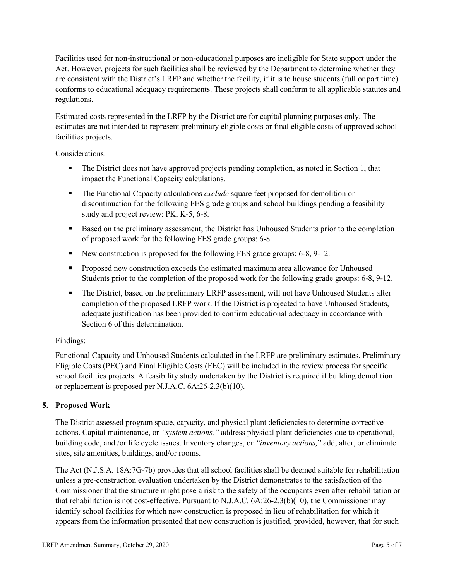Facilities used for non-instructional or non-educational purposes are ineligible for State support under the Act. However, projects for such facilities shall be reviewed by the Department to determine whether they are consistent with the District's LRFP and whether the facility, if it is to house students (full or part time) conforms to educational adequacy requirements. These projects shall conform to all applicable statutes and regulations.

Estimated costs represented in the LRFP by the District are for capital planning purposes only. The estimates are not intended to represent preliminary eligible costs or final eligible costs of approved school facilities projects.

Considerations:

- The District does not have approved projects pending completion, as noted in Section 1, that impact the Functional Capacity calculations.
- **The Functional Capacity calculations** *exclude* square feet proposed for demolition or discontinuation for the following FES grade groups and school buildings pending a feasibility study and project review: PK, K-5, 6-8.
- Based on the preliminary assessment, the District has Unhoused Students prior to the completion of proposed work for the following FES grade groups: 6-8.
- New construction is proposed for the following FES grade groups: 6-8, 9-12.
- Proposed new construction exceeds the estimated maximum area allowance for Unhoused Students prior to the completion of the proposed work for the following grade groups: 6-8, 9-12.
- The District, based on the preliminary LRFP assessment, will not have Unhoused Students after completion of the proposed LRFP work. If the District is projected to have Unhoused Students, adequate justification has been provided to confirm educational adequacy in accordance with Section 6 of this determination.

## Findings:

Functional Capacity and Unhoused Students calculated in the LRFP are preliminary estimates. Preliminary Eligible Costs (PEC) and Final Eligible Costs (FEC) will be included in the review process for specific school facilities projects. A feasibility study undertaken by the District is required if building demolition or replacement is proposed per N.J.A.C. 6A:26-2.3(b)(10).

## **5. Proposed Work**

The District assessed program space, capacity, and physical plant deficiencies to determine corrective actions. Capital maintenance, or *"system actions,"* address physical plant deficiencies due to operational, building code, and /or life cycle issues. Inventory changes, or *"inventory actions,*" add, alter, or eliminate sites, site amenities, buildings, and/or rooms.

The Act (N.J.S.A. 18A:7G-7b) provides that all school facilities shall be deemed suitable for rehabilitation unless a pre-construction evaluation undertaken by the District demonstrates to the satisfaction of the Commissioner that the structure might pose a risk to the safety of the occupants even after rehabilitation or that rehabilitation is not cost-effective. Pursuant to N.J.A.C. 6A:26-2.3(b)(10), the Commissioner may identify school facilities for which new construction is proposed in lieu of rehabilitation for which it appears from the information presented that new construction is justified, provided, however, that for such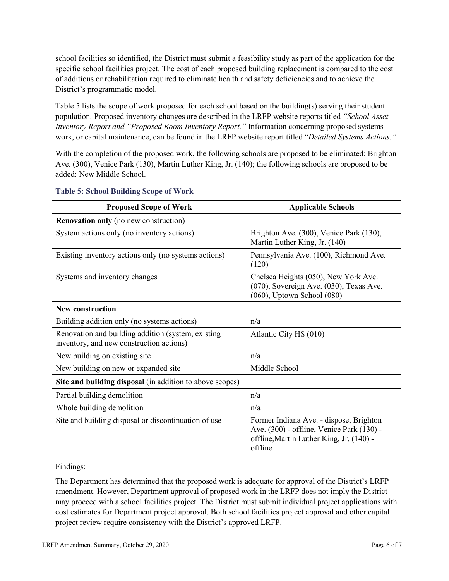school facilities so identified, the District must submit a feasibility study as part of the application for the specific school facilities project. The cost of each proposed building replacement is compared to the cost of additions or rehabilitation required to eliminate health and safety deficiencies and to achieve the District's programmatic model.

Table 5 lists the scope of work proposed for each school based on the building(s) serving their student population. Proposed inventory changes are described in the LRFP website reports titled *"School Asset Inventory Report and "Proposed Room Inventory Report."* Information concerning proposed systems work, or capital maintenance, can be found in the LRFP website report titled "*Detailed Systems Actions."*

With the completion of the proposed work, the following schools are proposed to be eliminated: Brighton Ave. (300), Venice Park (130), Martin Luther King, Jr. (140); the following schools are proposed to be added: New Middle School.

| <b>Proposed Scope of Work</b>                                                                  | <b>Applicable Schools</b>                                                                                                                   |
|------------------------------------------------------------------------------------------------|---------------------------------------------------------------------------------------------------------------------------------------------|
| <b>Renovation only</b> (no new construction)                                                   |                                                                                                                                             |
| System actions only (no inventory actions)                                                     | Brighton Ave. (300), Venice Park (130),<br>Martin Luther King, Jr. (140)                                                                    |
| Existing inventory actions only (no systems actions)                                           | Pennsylvania Ave. (100), Richmond Ave.<br>(120)                                                                                             |
| Systems and inventory changes                                                                  | Chelsea Heights (050), New York Ave.<br>(070), Sovereign Ave. (030), Texas Ave.<br>$(060)$ , Uptown School $(080)$                          |
| <b>New construction</b>                                                                        |                                                                                                                                             |
| Building addition only (no systems actions)                                                    | n/a                                                                                                                                         |
| Renovation and building addition (system, existing<br>inventory, and new construction actions) | Atlantic City HS (010)                                                                                                                      |
| New building on existing site                                                                  | n/a                                                                                                                                         |
| New building on new or expanded site                                                           | Middle School                                                                                                                               |
| Site and building disposal (in addition to above scopes)                                       |                                                                                                                                             |
| Partial building demolition                                                                    | n/a                                                                                                                                         |
| Whole building demolition                                                                      | n/a                                                                                                                                         |
| Site and building disposal or discontinuation of use                                           | Former Indiana Ave. - dispose, Brighton<br>Ave. (300) - offline, Venice Park (130) -<br>offline, Martin Luther King, Jr. (140) -<br>offline |

#### **Table 5: School Building Scope of Work**

Findings:

The Department has determined that the proposed work is adequate for approval of the District's LRFP amendment. However, Department approval of proposed work in the LRFP does not imply the District may proceed with a school facilities project. The District must submit individual project applications with cost estimates for Department project approval. Both school facilities project approval and other capital project review require consistency with the District's approved LRFP.